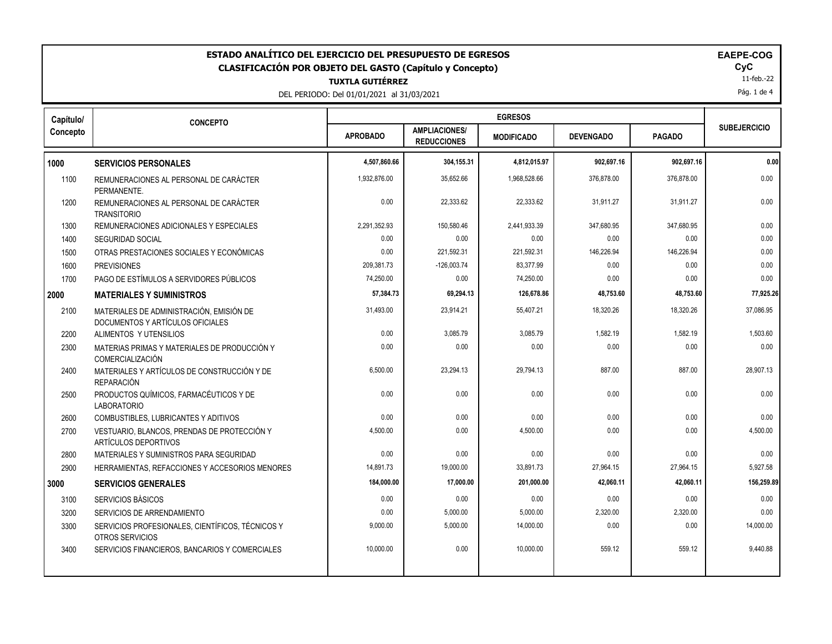| ESTADO ANALÍTICO DEL EJERCICIO DEL PRESUPUESTO DE EGRESOS<br><b>EAEPE-COG</b><br>CyC<br><b>CLASIFICACIÓN POR OBJETO DEL GASTO (Capítulo y Concepto)</b><br>11-feb.-22<br><b>TUXTLA GUTIÉRREZ</b><br>Pág. 1 de 4<br>DEL PERIODO: Del 01/01/2021 al 31/03/2021 |                                                                              |                 |                                            |                   |                  |               |                     |
|--------------------------------------------------------------------------------------------------------------------------------------------------------------------------------------------------------------------------------------------------------------|------------------------------------------------------------------------------|-----------------|--------------------------------------------|-------------------|------------------|---------------|---------------------|
| Capítulo/                                                                                                                                                                                                                                                    | <b>CONCEPTO</b>                                                              |                 |                                            | <b>EGRESOS</b>    |                  |               |                     |
| Concepto                                                                                                                                                                                                                                                     |                                                                              | <b>APROBADO</b> | <b>AMPLIACIONES/</b><br><b>REDUCCIONES</b> | <b>MODIFICADO</b> | <b>DEVENGADO</b> | <b>PAGADO</b> | <b>SUBEJERCICIO</b> |
| 1000                                                                                                                                                                                                                                                         | <b>SERVICIOS PERSONALES</b>                                                  | 4,507,860.66    | 304,155.31                                 | 4,812,015.97      | 902,697.16       | 902,697.16    | 0.00                |
| 1100                                                                                                                                                                                                                                                         | REMUNERACIONES AL PERSONAL DE CARÁCTER<br>PERMANENTE.                        | 1.932.876.00    | 35.652.66                                  | 1.968.528.66      | 376.878.00       | 376,878.00    | 0.00                |
| 1200                                                                                                                                                                                                                                                         | REMUNERACIONES AL PERSONAL DE CARÁCTER<br><b>TRANSITORIO</b>                 | 0.00            | 22,333.62                                  | 22,333.62         | 31,911.27        | 31,911.27     | 0.00                |
| 1300                                                                                                                                                                                                                                                         | REMUNERACIONES ADICIONALES Y ESPECIALES                                      | 2,291,352.93    | 150,580.46                                 | 2,441,933.39      | 347,680.95       | 347,680.95    | 0.00                |
| 1400                                                                                                                                                                                                                                                         | <b>SEGURIDAD SOCIAL</b>                                                      | 0.00            | 0.00                                       | 0.00              | 0.00             | 0.00          | 0.00                |
| 1500                                                                                                                                                                                                                                                         | OTRAS PRESTACIONES SOCIALES Y ECONÓMICAS                                     | 0.00            | 221,592.31                                 | 221,592.31        | 146,226.94       | 146,226.94    | 0.00                |
| 1600                                                                                                                                                                                                                                                         | <b>PREVISIONES</b>                                                           | 209.381.73      | $-126,003.74$                              | 83.377.99         | 0.00             | 0.00          | 0.00                |
| 1700                                                                                                                                                                                                                                                         | PAGO DE ESTÍMULOS A SERVIDORES PÚBLICOS                                      | 74,250.00       | 0.00                                       | 74,250.00         | 0.00             | 0.00          | 0.00                |
| 2000                                                                                                                                                                                                                                                         | <b>MATERIALES Y SUMINISTROS</b>                                              | 57,384.73       | 69,294.13                                  | 126,678.86        | 48,753.60        | 48,753.60     | 77,925.26           |
| 2100                                                                                                                                                                                                                                                         | MATERIALES DE ADMINISTRACIÓN, EMISIÓN DE<br>DOCUMENTOS Y ARTÍCULOS OFICIALES | 31,493.00       | 23,914.21                                  | 55,407.21         | 18,320.26        | 18,320.26     | 37,086.95           |
| 2200                                                                                                                                                                                                                                                         | ALIMENTOS Y UTENSILIOS                                                       | 0.00            | 3,085.79                                   | 3,085.79          | 1,582.19         | 1,582.19      | 1,503.60            |
| 2300                                                                                                                                                                                                                                                         | MATERIAS PRIMAS Y MATERIALES DE PRODUCCIÓN Y<br><b>COMERCIALIZACIÓN</b>      | 0.00            | 0.00                                       | 0.00              | 0.00             | 0.00          | 0.00                |
| 2400                                                                                                                                                                                                                                                         | MATERIALES Y ARTÍCULOS DE CONSTRUCCIÓN Y DE<br><b>REPARACIÓN</b>             | 6,500.00        | 23,294.13                                  | 29,794.13         | 887.00           | 887.00        | 28,907.13           |
| 2500                                                                                                                                                                                                                                                         | PRODUCTOS QUÍMICOS, FARMACÉUTICOS Y DE<br><b>LABORATORIO</b>                 | 0.00            | 0.00                                       | 0.00              | 0.00             | 0.00          | 0.00                |
| 2600                                                                                                                                                                                                                                                         | COMBUSTIBLES, LUBRICANTES Y ADITIVOS                                         | 0.00            | 0.00                                       | 0.00              | 0.00             | 0.00          | 0.00                |
| 2700                                                                                                                                                                                                                                                         | VESTUARIO, BLANCOS, PRENDAS DE PROTECCIÓN Y<br><b>ARTÍCULOS DEPORTIVOS</b>   | 4,500.00        | 0.00                                       | 4,500.00          | 0.00             | 0.00          | 4,500.00            |
| 2800                                                                                                                                                                                                                                                         | MATERIALES Y SUMINISTROS PARA SEGURIDAD                                      | 0.00            | 0.00                                       | 0.00              | 0.00             | 0.00          | 0.00                |
| 2900                                                                                                                                                                                                                                                         | HERRAMIENTAS, REFACCIONES Y ACCESORIOS MENORES                               | 14,891.73       | 19,000.00                                  | 33,891.73         | 27,964.15        | 27,964.15     | 5,927.58            |
| 3000                                                                                                                                                                                                                                                         | <b>SERVICIOS GENERALES</b>                                                   | 184,000.00      | 17,000.00                                  | 201,000.00        | 42,060.11        | 42,060.11     | 156,259.89          |
| 3100                                                                                                                                                                                                                                                         | SERVICIOS BÁSICOS                                                            | 0.00            | 0.00                                       | 0.00              | 0.00             | 0.00          | 0.00                |
| 3200                                                                                                                                                                                                                                                         | SERVICIOS DE ARRENDAMIENTO                                                   | 0.00            | 5,000.00                                   | 5,000.00          | 2,320.00         | 2,320.00      | 0.00                |
| 3300                                                                                                                                                                                                                                                         | SERVICIOS PROFESIONALES, CIENTÍFICOS, TÉCNICOS Y<br>OTROS SERVICIOS          | 9,000.00        | 5,000.00                                   | 14,000.00         | 0.00             | 0.00          | 14,000.00           |
| 3400                                                                                                                                                                                                                                                         | SERVICIOS FINANCIEROS, BANCARIOS Y COMERCIALES                               | 10,000.00       | 0.00                                       | 10,000.00         | 559.12           | 559.12        | 9,440.88            |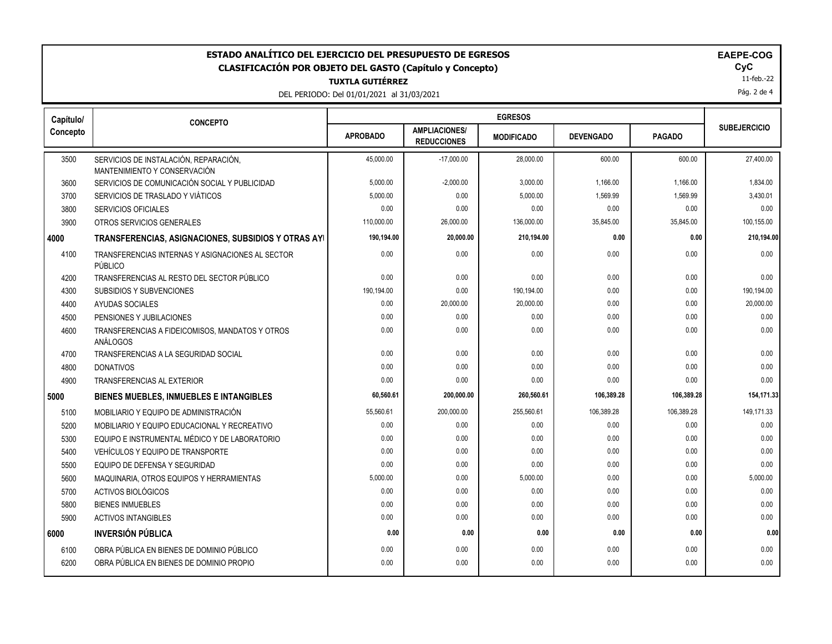| ESTADO ANALÍTICO DEL EJERCICIO DEL PRESUPUESTO DE EGRESOS<br><b>EAEPE-COG</b><br>CyC<br><b>CLASIFICACIÓN POR OBJETO DEL GASTO (Capítulo y Concepto)</b><br>11-feb.-22<br><b>TUXTLA GUTIÉRREZ</b><br>Pág. 2 de 4<br>DEL PERIODO: Del 01/01/2021 al 31/03/2021 |                                                                       |                 |                                            |                   |                  |               |                     |
|--------------------------------------------------------------------------------------------------------------------------------------------------------------------------------------------------------------------------------------------------------------|-----------------------------------------------------------------------|-----------------|--------------------------------------------|-------------------|------------------|---------------|---------------------|
| Capítulo/                                                                                                                                                                                                                                                    | <b>CONCEPTO</b>                                                       |                 |                                            | <b>EGRESOS</b>    |                  |               |                     |
| Concepto                                                                                                                                                                                                                                                     |                                                                       | <b>APROBADO</b> | <b>AMPLIACIONES/</b><br><b>REDUCCIONES</b> | <b>MODIFICADO</b> | <b>DEVENGADO</b> | <b>PAGADO</b> | <b>SUBEJERCICIO</b> |
| 3500                                                                                                                                                                                                                                                         | SERVICIOS DE INSTALACIÓN, REPARACIÓN,<br>MANTENIMIENTO Y CONSERVACIÓN | 45.000.00       | $-17,000.00$                               | 28,000.00         | 600.00           | 600.00        | 27,400.00           |
| 3600                                                                                                                                                                                                                                                         | SERVICIOS DE COMUNICACIÓN SOCIAL Y PUBLICIDAD                         | 5,000.00        | $-2,000.00$                                | 3,000.00          | 1,166.00         | 1,166.00      | 1,834.00            |
| 3700                                                                                                                                                                                                                                                         | SERVICIOS DE TRASLADO Y VIÁTICOS                                      | 5,000.00        | 0.00                                       | 5,000.00          | 1,569.99         | 1,569.99      | 3,430.01            |
| 3800                                                                                                                                                                                                                                                         | <b>SERVICIOS OFICIALES</b>                                            | 0.00            | 0.00                                       | 0.00              | 0.00             | 0.00          | 0.00                |
| 3900                                                                                                                                                                                                                                                         | OTROS SERVICIOS GENERALES                                             | 110,000.00      | 26,000.00                                  | 136,000.00        | 35,845.00        | 35,845.00     | 100,155.00          |
| 4000                                                                                                                                                                                                                                                         | TRANSFERENCIAS, ASIGNACIONES, SUBSIDIOS Y OTRAS AYI                   | 190,194.00      | 20,000.00                                  | 210,194.00        | 0.00             | 0.00          | 210,194.00          |
| 4100                                                                                                                                                                                                                                                         | TRANSFERENCIAS INTERNAS Y ASIGNACIONES AL SECTOR<br>PÚBLICO           | 0.00            | 0.00                                       | 0.00              | 0.00             | 0.00          | 0.00                |
| 4200                                                                                                                                                                                                                                                         | TRANSFERENCIAS AL RESTO DEL SECTOR PÚBLICO                            | 0.00            | 0.00                                       | 0.00              | 0.00             | 0.00          | 0.00                |
| 4300                                                                                                                                                                                                                                                         | SUBSIDIOS Y SUBVENCIONES                                              | 190,194.00      | 0.00                                       | 190,194.00        | 0.00             | 0.00          | 190,194.00          |
| 4400                                                                                                                                                                                                                                                         | AYUDAS SOCIALES                                                       | 0.00            | 20,000.00                                  | 20,000.00         | 0.00             | 0.00          | 20,000.00           |
| 4500                                                                                                                                                                                                                                                         | PENSIONES Y JUBILACIONES                                              | 0.00            | 0.00                                       | 0.00              | 0.00             | 0.00          | 0.00                |
| 4600                                                                                                                                                                                                                                                         | TRANSFERENCIAS A FIDEICOMISOS, MANDATOS Y OTROS<br>ANÁLOGOS           | 0.00            | 0.00                                       | 0.00              | 0.00             | 0.00          | 0.00                |
| 4700                                                                                                                                                                                                                                                         | TRANSFERENCIAS A LA SEGURIDAD SOCIAL                                  | 0.00            | 0.00                                       | 0.00              | 0.00             | 0.00          | 0.00                |
| 4800                                                                                                                                                                                                                                                         | <b>DONATIVOS</b>                                                      | 0.00            | 0.00                                       | 0.00              | 0.00             | 0.00          | 0.00                |
| 4900                                                                                                                                                                                                                                                         | TRANSFERENCIAS AL EXTERIOR                                            | 0.00            | 0.00                                       | 0.00              | 0.00             | 0.00          | 0.00                |
| 5000                                                                                                                                                                                                                                                         | <b>BIENES MUEBLES, INMUEBLES E INTANGIBLES</b>                        | 60,560.61       | 200,000.00                                 | 260,560.61        | 106,389.28       | 106,389.28    | 154,171.33          |
| 5100                                                                                                                                                                                                                                                         | MOBILIARIO Y EQUIPO DE ADMINISTRACIÓN                                 | 55,560.61       | 200,000.00                                 | 255,560.61        | 106,389.28       | 106,389.28    | 149,171.33          |
| 5200                                                                                                                                                                                                                                                         | MOBILIARIO Y EQUIPO EDUCACIONAL Y RECREATIVO                          | 0.00            | 0.00                                       | 0.00              | 0.00             | 0.00          | 0.00                |
| 5300                                                                                                                                                                                                                                                         | EQUIPO E INSTRUMENTAL MÉDICO Y DE LABORATORIO                         | 0.00            | 0.00                                       | 0.00              | 0.00             | 0.00          | 0.00                |
| 5400                                                                                                                                                                                                                                                         | VEHÍCULOS Y EQUIPO DE TRANSPORTE                                      | 0.00            | 0.00                                       | 0.00              | 0.00             | 0.00          | 0.00                |
| 5500                                                                                                                                                                                                                                                         | EQUIPO DE DEFENSA Y SEGURIDAD                                         | 0.00            | 0.00                                       | 0.00              | 0.00             | 0.00          | 0.00                |
| 5600                                                                                                                                                                                                                                                         | MAQUINARIA, OTROS EQUIPOS Y HERRAMIENTAS                              | 5,000.00        | 0.00                                       | 5,000.00          | 0.00             | 0.00          | 5,000.00            |
| 5700                                                                                                                                                                                                                                                         | ACTIVOS BIOLÓGICOS                                                    | 0.00            | 0.00                                       | 0.00              | 0.00             | 0.00          | 0.00                |
| 5800                                                                                                                                                                                                                                                         | <b>BIENES INMUEBLES</b>                                               | 0.00            | 0.00                                       | 0.00              | 0.00             | 0.00          | 0.00                |
| 5900                                                                                                                                                                                                                                                         | <b>ACTIVOS INTANGIBLES</b>                                            | 0.00            | 0.00                                       | 0.00              | 0.00             | 0.00          | 0.00                |
| 6000                                                                                                                                                                                                                                                         | <b>INVERSIÓN PÚBLICA</b>                                              | 0.00            | 0.00                                       | 0.00              | 0.00             | 0.00          | 0.00                |
| 6100                                                                                                                                                                                                                                                         | OBRA PÚBLICA EN BIENES DE DOMINIO PÚBLICO                             | 0.00            | 0.00                                       | 0.00              | 0.00             | 0.00          | 0.00                |
| 6200                                                                                                                                                                                                                                                         | OBRA PÚBLICA EN BIENES DE DOMINIO PROPIO                              | 0.00            | 0.00                                       | 0.00              | 0.00             | 0.00          | 0.00                |
|                                                                                                                                                                                                                                                              |                                                                       |                 |                                            |                   |                  |               |                     |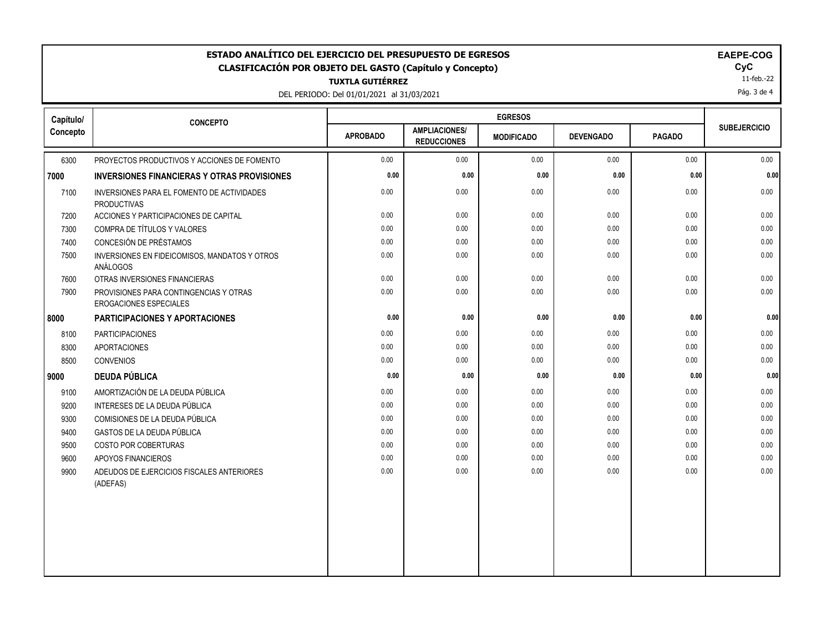| <b>EGRESOS</b><br>Capítulo/<br><b>CONCEPTO</b><br><b>SUBEJERCICIO</b><br><b>AMPLIACIONES/</b><br><b>APROBADO</b><br><b>DEVENGADO</b><br><b>PAGADO</b><br><b>MODIFICADO</b><br><b>REDUCCIONES</b><br>6300<br>0.00<br>0.00<br>0.00<br>0.00<br>0.00<br>0.00<br>PROYECTOS PRODUCTIVOS Y ACCIONES DE FOMENTO<br>0.00<br>0.00<br>0.00<br>0.00<br>0.00<br><b>INVERSIONES FINANCIERAS Y OTRAS PROVISIONES</b><br>0.00<br>0.00<br>0.00<br>0.00<br>0.00<br>7100<br>0.00<br>INVERSIONES PARA EL FOMENTO DE ACTIVIDADES<br><b>PRODUCTIVAS</b><br>0.00<br>0.00<br>0.00<br>0.00<br>0.00<br>7200<br>ACCIONES Y PARTICIPACIONES DE CAPITAL<br>0.00<br>0.00<br>0.00<br>0.00<br>COMPRA DE TÍTULOS Y VALORES<br>0.00<br>0.00<br>0.00<br>7300<br>CONCESIÓN DE PRÉSTAMOS<br>0.00<br>7400<br>0.00<br>0.00<br>0.00<br>0.00<br>0.00<br>0.00<br>0.00<br>0.00<br>0.00<br>0.00<br>0.00<br>7500<br>INVERSIONES EN FIDEICOMISOS, MANDATOS Y OTROS<br><b>ANÁLOGOS</b><br>0.00<br>0.00<br>0.00<br>0.00<br>0.00<br>$0.00\,$<br>7600<br>OTRAS INVERSIONES FINANCIERAS<br>0.00<br>0.00<br>7900<br>0.00<br>0.00<br>0.00<br>0.00<br>PROVISIONES PARA CONTINGENCIAS Y OTRAS<br>EROGACIONES ESPECIALES<br>0.00<br>0.00<br>0.00<br>0.00<br>0.00<br><b>PARTICIPACIONES Y APORTACIONES</b><br>0.00<br>0.00<br><b>PARTICIPACIONES</b><br>0.00<br>0.00<br>0.00<br>0.00<br>8100<br>8300<br>0.00<br>0.00<br>0.00<br>0.00<br><b>APORTACIONES</b><br>0.00<br>0.00<br>0.00<br>0.00<br>0.00<br>0.00<br>0.00<br>0.00<br>8500<br><b>CONVENIOS</b><br><b>DEUDA PÚBLICA</b><br>0.00<br>0.00<br>0.00<br>0.00<br>0.00<br>0.00<br>0.00<br>0.00<br>0.00<br>AMORTIZACIÓN DE LA DEUDA PÚBLICA<br>0.00<br>0.00<br>9100<br>9200<br>INTERESES DE LA DEUDA PÚBLICA<br>0.00<br>0.00<br>0.00<br>0.00<br>0.00<br>0.00<br>0.00<br>0.00<br>0.00<br>0.00<br>0.00<br>COMISIONES DE LA DEUDA PÚBLICA<br>0.00<br>9300<br><b>GASTOS DE LA DEUDA PÚBLICA</b><br>0.00<br>0.00<br>0.00<br>0.00<br>0.00<br>0.00<br>9400<br>9500<br><b>COSTO POR COBERTURAS</b><br>0.00<br>0.00<br>0.00<br>0.00<br>0.00<br>0.00<br>0.00<br>0.00<br>0.00<br>0.00<br>0.00<br>0.00<br>9600<br>APOYOS FINANCIEROS<br>0.00<br>0.00<br>0.00<br>0.00<br>0.00<br>9900<br>ADEUDOS DE EJERCICIOS FISCALES ANTERIORES<br>0.00<br>(ADEFAS) | ESTADO ANALÍTICO DEL EJERCICIO DEL PRESUPUESTO DE EGRESOS<br>EAEPE-COG<br>CyC<br><b>CLASIFICACIÓN POR OBJETO DEL GASTO (Capítulo y Concepto)</b><br>11-feb.-22<br><b>TUXTLA GUTIÉRREZ</b><br>Pág. 3 de 4<br>DEL PERIODO: Del 01/01/2021 al 31/03/2021 |  |  |  |  |  |  |      |
|----------------------------------------------------------------------------------------------------------------------------------------------------------------------------------------------------------------------------------------------------------------------------------------------------------------------------------------------------------------------------------------------------------------------------------------------------------------------------------------------------------------------------------------------------------------------------------------------------------------------------------------------------------------------------------------------------------------------------------------------------------------------------------------------------------------------------------------------------------------------------------------------------------------------------------------------------------------------------------------------------------------------------------------------------------------------------------------------------------------------------------------------------------------------------------------------------------------------------------------------------------------------------------------------------------------------------------------------------------------------------------------------------------------------------------------------------------------------------------------------------------------------------------------------------------------------------------------------------------------------------------------------------------------------------------------------------------------------------------------------------------------------------------------------------------------------------------------------------------------------------------------------------------------------------------------------------------------------------------------------------------------------------------------------------------------------------------------------------------------------------------------------------------------------------------------------------------------------------------|-------------------------------------------------------------------------------------------------------------------------------------------------------------------------------------------------------------------------------------------------------|--|--|--|--|--|--|------|
|                                                                                                                                                                                                                                                                                                                                                                                                                                                                                                                                                                                                                                                                                                                                                                                                                                                                                                                                                                                                                                                                                                                                                                                                                                                                                                                                                                                                                                                                                                                                                                                                                                                                                                                                                                                                                                                                                                                                                                                                                                                                                                                                                                                                                                  |                                                                                                                                                                                                                                                       |  |  |  |  |  |  |      |
|                                                                                                                                                                                                                                                                                                                                                                                                                                                                                                                                                                                                                                                                                                                                                                                                                                                                                                                                                                                                                                                                                                                                                                                                                                                                                                                                                                                                                                                                                                                                                                                                                                                                                                                                                                                                                                                                                                                                                                                                                                                                                                                                                                                                                                  | Concepto                                                                                                                                                                                                                                              |  |  |  |  |  |  |      |
|                                                                                                                                                                                                                                                                                                                                                                                                                                                                                                                                                                                                                                                                                                                                                                                                                                                                                                                                                                                                                                                                                                                                                                                                                                                                                                                                                                                                                                                                                                                                                                                                                                                                                                                                                                                                                                                                                                                                                                                                                                                                                                                                                                                                                                  |                                                                                                                                                                                                                                                       |  |  |  |  |  |  |      |
|                                                                                                                                                                                                                                                                                                                                                                                                                                                                                                                                                                                                                                                                                                                                                                                                                                                                                                                                                                                                                                                                                                                                                                                                                                                                                                                                                                                                                                                                                                                                                                                                                                                                                                                                                                                                                                                                                                                                                                                                                                                                                                                                                                                                                                  | 7000                                                                                                                                                                                                                                                  |  |  |  |  |  |  | 0.00 |
|                                                                                                                                                                                                                                                                                                                                                                                                                                                                                                                                                                                                                                                                                                                                                                                                                                                                                                                                                                                                                                                                                                                                                                                                                                                                                                                                                                                                                                                                                                                                                                                                                                                                                                                                                                                                                                                                                                                                                                                                                                                                                                                                                                                                                                  |                                                                                                                                                                                                                                                       |  |  |  |  |  |  |      |
|                                                                                                                                                                                                                                                                                                                                                                                                                                                                                                                                                                                                                                                                                                                                                                                                                                                                                                                                                                                                                                                                                                                                                                                                                                                                                                                                                                                                                                                                                                                                                                                                                                                                                                                                                                                                                                                                                                                                                                                                                                                                                                                                                                                                                                  |                                                                                                                                                                                                                                                       |  |  |  |  |  |  |      |
|                                                                                                                                                                                                                                                                                                                                                                                                                                                                                                                                                                                                                                                                                                                                                                                                                                                                                                                                                                                                                                                                                                                                                                                                                                                                                                                                                                                                                                                                                                                                                                                                                                                                                                                                                                                                                                                                                                                                                                                                                                                                                                                                                                                                                                  |                                                                                                                                                                                                                                                       |  |  |  |  |  |  |      |
|                                                                                                                                                                                                                                                                                                                                                                                                                                                                                                                                                                                                                                                                                                                                                                                                                                                                                                                                                                                                                                                                                                                                                                                                                                                                                                                                                                                                                                                                                                                                                                                                                                                                                                                                                                                                                                                                                                                                                                                                                                                                                                                                                                                                                                  |                                                                                                                                                                                                                                                       |  |  |  |  |  |  |      |
|                                                                                                                                                                                                                                                                                                                                                                                                                                                                                                                                                                                                                                                                                                                                                                                                                                                                                                                                                                                                                                                                                                                                                                                                                                                                                                                                                                                                                                                                                                                                                                                                                                                                                                                                                                                                                                                                                                                                                                                                                                                                                                                                                                                                                                  |                                                                                                                                                                                                                                                       |  |  |  |  |  |  |      |
|                                                                                                                                                                                                                                                                                                                                                                                                                                                                                                                                                                                                                                                                                                                                                                                                                                                                                                                                                                                                                                                                                                                                                                                                                                                                                                                                                                                                                                                                                                                                                                                                                                                                                                                                                                                                                                                                                                                                                                                                                                                                                                                                                                                                                                  |                                                                                                                                                                                                                                                       |  |  |  |  |  |  |      |
|                                                                                                                                                                                                                                                                                                                                                                                                                                                                                                                                                                                                                                                                                                                                                                                                                                                                                                                                                                                                                                                                                                                                                                                                                                                                                                                                                                                                                                                                                                                                                                                                                                                                                                                                                                                                                                                                                                                                                                                                                                                                                                                                                                                                                                  |                                                                                                                                                                                                                                                       |  |  |  |  |  |  |      |
|                                                                                                                                                                                                                                                                                                                                                                                                                                                                                                                                                                                                                                                                                                                                                                                                                                                                                                                                                                                                                                                                                                                                                                                                                                                                                                                                                                                                                                                                                                                                                                                                                                                                                                                                                                                                                                                                                                                                                                                                                                                                                                                                                                                                                                  | 8000                                                                                                                                                                                                                                                  |  |  |  |  |  |  | 0.00 |
|                                                                                                                                                                                                                                                                                                                                                                                                                                                                                                                                                                                                                                                                                                                                                                                                                                                                                                                                                                                                                                                                                                                                                                                                                                                                                                                                                                                                                                                                                                                                                                                                                                                                                                                                                                                                                                                                                                                                                                                                                                                                                                                                                                                                                                  |                                                                                                                                                                                                                                                       |  |  |  |  |  |  |      |
|                                                                                                                                                                                                                                                                                                                                                                                                                                                                                                                                                                                                                                                                                                                                                                                                                                                                                                                                                                                                                                                                                                                                                                                                                                                                                                                                                                                                                                                                                                                                                                                                                                                                                                                                                                                                                                                                                                                                                                                                                                                                                                                                                                                                                                  |                                                                                                                                                                                                                                                       |  |  |  |  |  |  |      |
|                                                                                                                                                                                                                                                                                                                                                                                                                                                                                                                                                                                                                                                                                                                                                                                                                                                                                                                                                                                                                                                                                                                                                                                                                                                                                                                                                                                                                                                                                                                                                                                                                                                                                                                                                                                                                                                                                                                                                                                                                                                                                                                                                                                                                                  |                                                                                                                                                                                                                                                       |  |  |  |  |  |  |      |
|                                                                                                                                                                                                                                                                                                                                                                                                                                                                                                                                                                                                                                                                                                                                                                                                                                                                                                                                                                                                                                                                                                                                                                                                                                                                                                                                                                                                                                                                                                                                                                                                                                                                                                                                                                                                                                                                                                                                                                                                                                                                                                                                                                                                                                  | 9000                                                                                                                                                                                                                                                  |  |  |  |  |  |  | 0.00 |
|                                                                                                                                                                                                                                                                                                                                                                                                                                                                                                                                                                                                                                                                                                                                                                                                                                                                                                                                                                                                                                                                                                                                                                                                                                                                                                                                                                                                                                                                                                                                                                                                                                                                                                                                                                                                                                                                                                                                                                                                                                                                                                                                                                                                                                  |                                                                                                                                                                                                                                                       |  |  |  |  |  |  |      |
|                                                                                                                                                                                                                                                                                                                                                                                                                                                                                                                                                                                                                                                                                                                                                                                                                                                                                                                                                                                                                                                                                                                                                                                                                                                                                                                                                                                                                                                                                                                                                                                                                                                                                                                                                                                                                                                                                                                                                                                                                                                                                                                                                                                                                                  |                                                                                                                                                                                                                                                       |  |  |  |  |  |  |      |
|                                                                                                                                                                                                                                                                                                                                                                                                                                                                                                                                                                                                                                                                                                                                                                                                                                                                                                                                                                                                                                                                                                                                                                                                                                                                                                                                                                                                                                                                                                                                                                                                                                                                                                                                                                                                                                                                                                                                                                                                                                                                                                                                                                                                                                  |                                                                                                                                                                                                                                                       |  |  |  |  |  |  |      |
|                                                                                                                                                                                                                                                                                                                                                                                                                                                                                                                                                                                                                                                                                                                                                                                                                                                                                                                                                                                                                                                                                                                                                                                                                                                                                                                                                                                                                                                                                                                                                                                                                                                                                                                                                                                                                                                                                                                                                                                                                                                                                                                                                                                                                                  |                                                                                                                                                                                                                                                       |  |  |  |  |  |  |      |
|                                                                                                                                                                                                                                                                                                                                                                                                                                                                                                                                                                                                                                                                                                                                                                                                                                                                                                                                                                                                                                                                                                                                                                                                                                                                                                                                                                                                                                                                                                                                                                                                                                                                                                                                                                                                                                                                                                                                                                                                                                                                                                                                                                                                                                  |                                                                                                                                                                                                                                                       |  |  |  |  |  |  |      |
|                                                                                                                                                                                                                                                                                                                                                                                                                                                                                                                                                                                                                                                                                                                                                                                                                                                                                                                                                                                                                                                                                                                                                                                                                                                                                                                                                                                                                                                                                                                                                                                                                                                                                                                                                                                                                                                                                                                                                                                                                                                                                                                                                                                                                                  |                                                                                                                                                                                                                                                       |  |  |  |  |  |  |      |
|                                                                                                                                                                                                                                                                                                                                                                                                                                                                                                                                                                                                                                                                                                                                                                                                                                                                                                                                                                                                                                                                                                                                                                                                                                                                                                                                                                                                                                                                                                                                                                                                                                                                                                                                                                                                                                                                                                                                                                                                                                                                                                                                                                                                                                  |                                                                                                                                                                                                                                                       |  |  |  |  |  |  |      |